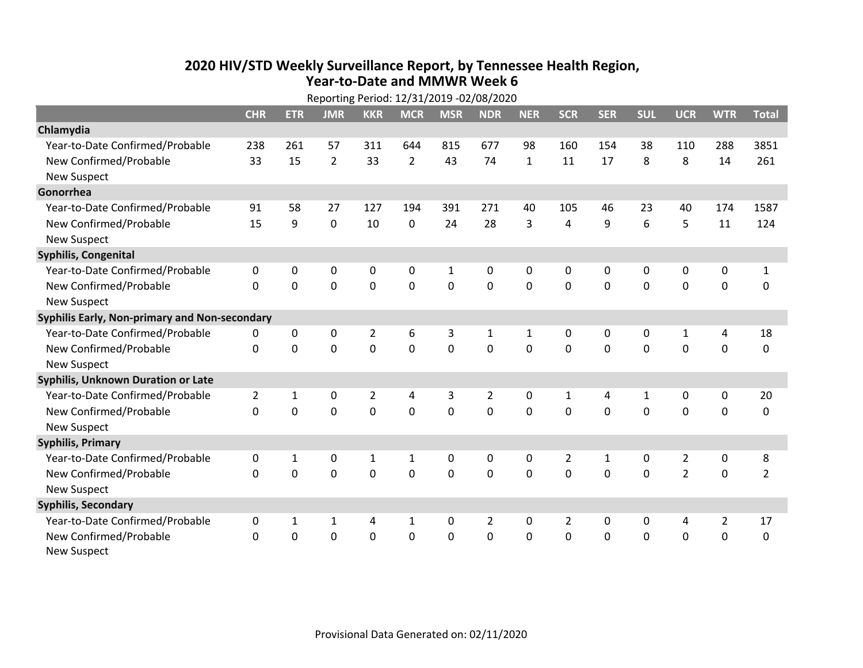## **2020 HIV /STD Weekly Surveillance Report, by Tennessee Health Region, Year‐to‐Date and MMWR Week 6**

|                                               | Reporting Period: 12/31/2019 -02/08/2020 |                |                |                |                |             |                |                |                |              |              |                |                |                |
|-----------------------------------------------|------------------------------------------|----------------|----------------|----------------|----------------|-------------|----------------|----------------|----------------|--------------|--------------|----------------|----------------|----------------|
|                                               | <b>CHR</b>                               | <b>ETR</b>     | <b>JMR</b>     | <b>KKR</b>     | <b>MCR</b>     | <b>MSR</b>  | <b>NDR</b>     | <b>NER</b>     | <b>SCR</b>     | <b>SER</b>   | <b>SUL</b>   | <b>UCR</b>     | <b>WTR</b>     | <b>Total</b>   |
| Chlamydia                                     |                                          |                |                |                |                |             |                |                |                |              |              |                |                |                |
| Year-to-Date Confirmed/Probable               | 238                                      | 261            | 57             | 311            | 644            | 815         | 677            | 98             | 160            | 154          | 38           | 110            | 288            | 3851           |
| New Confirmed/Probable                        | 33                                       | 15             | $\overline{2}$ | 33             | $\overline{2}$ | 43          | 74             | $\mathbf{1}$   | 11             | 17           | 8            | 8              | 14             | 261            |
| <b>New Suspect</b>                            |                                          |                |                |                |                |             |                |                |                |              |              |                |                |                |
| Gonorrhea                                     |                                          |                |                |                |                |             |                |                |                |              |              |                |                |                |
| Year-to-Date Confirmed/Probable               | 91                                       | 58             | 27             | 127            | 194            | 391         | 271            | 40             | 105            | 46           | 23           | 40             | 174            | 1587           |
| New Confirmed/Probable                        | 15                                       | 9              | 0              | 10             | 0              | 24          | 28             | 3              | 4              | 9            | 6            | 5              | 11             | 124            |
| <b>New Suspect</b>                            |                                          |                |                |                |                |             |                |                |                |              |              |                |                |                |
| Syphilis, Congenital                          |                                          |                |                |                |                |             |                |                |                |              |              |                |                |                |
| Year-to-Date Confirmed/Probable               | 0                                        | 0              | 0              | 0              | 0              | 1           | 0              | 0              | 0              | $\mathbf{0}$ | $\mathbf{0}$ | 0              | 0              | $\mathbf{1}$   |
| New Confirmed/Probable                        | $\Omega$                                 | $\mathbf 0$    | 0              | 0              | $\mathbf 0$    | $\mathbf 0$ | $\Omega$       | $\Omega$       | $\Omega$       | $\mathbf{0}$ | $\mathbf 0$  | $\mathbf 0$    | $\mathbf 0$    | $\mathbf 0$    |
| <b>New Suspect</b>                            |                                          |                |                |                |                |             |                |                |                |              |              |                |                |                |
| Syphilis Early, Non-primary and Non-secondary |                                          |                |                |                |                |             |                |                |                |              |              |                |                |                |
| Year-to-Date Confirmed/Probable               | 0                                        | 0              | 0              | $\overline{2}$ | 6              | 3           | 1              | 1              | 0              | 0            | 0            | 1              | 4              | 18             |
| New Confirmed/Probable                        | $\mathbf{0}$                             | 0              | 0              | 0              | $\mathbf 0$    | $\mathbf 0$ | $\overline{0}$ | $\overline{0}$ | $\Omega$       | $\mathbf 0$  | $\mathbf 0$  | $\mathbf 0$    | $\mathbf 0$    | 0              |
| <b>New Suspect</b>                            |                                          |                |                |                |                |             |                |                |                |              |              |                |                |                |
| <b>Syphilis, Unknown Duration or Late</b>     |                                          |                |                |                |                |             |                |                |                |              |              |                |                |                |
| Year-to-Date Confirmed/Probable               | $\overline{2}$                           | $\mathbf{1}$   | 0              | $\overline{2}$ | 4              | 3           | 2              | $\mathbf{0}$   | $\mathbf{1}$   | 4            | 1            | 0              | 0              | 20             |
| New Confirmed/Probable                        | $\Omega$                                 | 0              | $\mathbf 0$    | 0              | $\mathbf 0$    | $\mathbf 0$ | $\Omega$       | $\Omega$       | $\Omega$       | $\Omega$     | $\Omega$     | $\Omega$       | $\mathbf 0$    | 0              |
| <b>New Suspect</b>                            |                                          |                |                |                |                |             |                |                |                |              |              |                |                |                |
| <b>Syphilis, Primary</b>                      |                                          |                |                |                |                |             |                |                |                |              |              |                |                |                |
| Year-to-Date Confirmed/Probable               | 0                                        | $\mathbf{1}$   | 0              | $\mathbf 1$    | $\mathbf{1}$   | 0           | 0              | 0              | $\overline{2}$ | $\mathbf{1}$ | 0            | $\overline{2}$ | $\mathbf 0$    | 8              |
| New Confirmed/Probable                        | $\Omega$                                 | $\overline{0}$ | 0              | 0              | $\mathbf 0$    | $\mathbf 0$ | $\Omega$       | $\Omega$       | $\Omega$       | $\mathbf{0}$ | 0            | $\overline{2}$ | $\mathbf 0$    | $\overline{2}$ |
| <b>New Suspect</b>                            |                                          |                |                |                |                |             |                |                |                |              |              |                |                |                |
| <b>Syphilis, Secondary</b>                    |                                          |                |                |                |                |             |                |                |                |              |              |                |                |                |
| Year-to-Date Confirmed/Probable               | 0                                        | $\mathbf{1}$   | $\mathbf{1}$   | 4              | $\mathbf{1}$   | 0           | $\overline{2}$ | $\mathbf{0}$   | $\overline{2}$ | 0            | 0            | 4              | $\overline{2}$ | 17             |
| New Confirmed/Probable                        | $\Omega$                                 | 0              | 0              | 0              | 0              | 0           | 0              | 0              | 0              | $\mathbf 0$  | 0            | $\mathbf 0$    | $\mathbf 0$    | 0              |
| <b>New Suspect</b>                            |                                          |                |                |                |                |             |                |                |                |              |              |                |                |                |